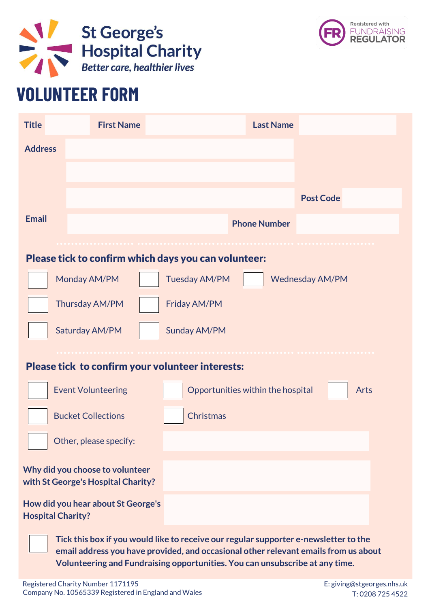



## **VOLUNTEER FORM**

Registered Charity Number 1171195 Company No. 10565339 Registered in England and Wales

E: giving@stgeorges.nhs.uk T: 0208 725 4522



**Tick this box if you would like to receive our regular supporter e-newsletter to the email address you have provided, and occasional other relevant emails from us about Volunteering and Fundraising opportunities. You can unsubscribe at any time.**







## Please tick to confirm your volunteer interests: